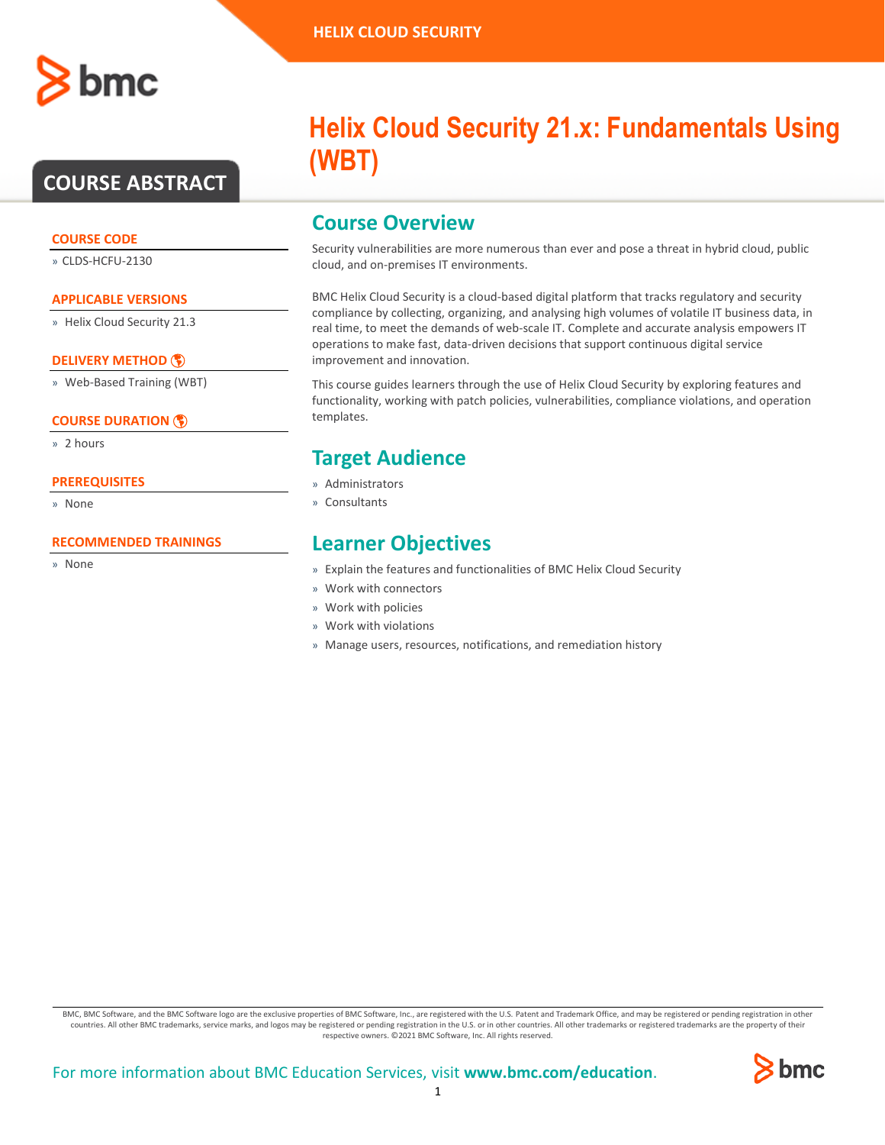# **COURSE ABSTRACT**

#### **COURSE CODE**

» CLDS-HCFU-2130

#### **APPLICABLE VERSIONS**

» Helix Cloud Security 21.3

### **[DELIVERY METHOD](http://www.bmc.com/education/modality.html)**

» Web-Based Training (WBT)

### **[COURSE DURATION](http://www.bmc.com/education/learning-paths/education-filters-learning-paths.html)**

» 2 hours

#### **PREREQUISITES**

» None

#### **RECOMMENDED TRAININGS**

» None

# **Helix Cloud Security 21.x: Fundamentals Using (WBT)**

### **Course Overview**

Security vulnerabilities are more numerous than ever and pose a threat in hybrid cloud, public cloud, and on-premises IT environments.

BMC Helix Cloud Security is a cloud-based digital platform that tracks regulatory and security compliance by collecting, organizing, and analysing high volumes of volatile IT business data, in real time, to meet the demands of web-scale IT. Complete and accurate analysis empowers IT operations to make fast, data-driven decisions that support continuous digital service improvement and innovation.

This course guides learners through the use of Helix Cloud Security by exploring features and functionality, working with patch policies, vulnerabilities, compliance violations, and operation templates.

# **Target Audience**

- » Administrators
- » Consultants

## **Learner Objectives**

- » Explain the features and functionalities of BMC Helix Cloud Security
- » Work with connectors
- » Work with policies
- » Work with violations
- » Manage users, resources, notifications, and remediation history

BMC, BMC Software, and the BMC Software logo are the exclusive properties of BMC Software, Inc., are registered with the U.S. Patent and Trademark Office, and may be registered or pending registration in other countries. All other BMC trademarks, service marks, and logos may be registered or pending registration in the U.S. or in other countries. All other trademarks or registered trademarks are the property of their respective owners. ©2021 BMC Software, Inc. All rights reserved.